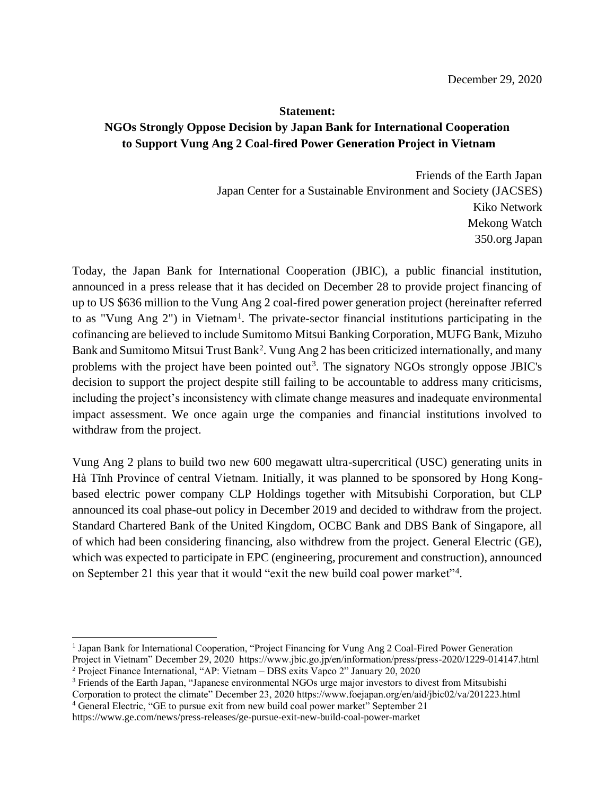## **Statement: NGOs Strongly Oppose Decision by Japan Bank for International Cooperation to Support Vung Ang 2 Coal-fired Power Generation Project in Vietnam**

Friends of the Earth Japan Japan Center for a Sustainable Environment and Society (JACSES) Kiko Network Mekong Watch 350.org Japan

Today, the Japan Bank for International Cooperation (JBIC), a public financial institution, announced in a press release that it has decided on December 28 to provide project financing of up to US \$636 million to the Vung Ang 2 coal-fired power generation project (hereinafter referred to as "Vung Ang 2") in Vietnam<sup>1</sup>. The private-sector financial institutions participating in the cofinancing are believed to include Sumitomo Mitsui Banking Corporation, MUFG Bank, Mizuho Bank and Sumitomo Mitsui Trust Bank<sup>2</sup>. Vung Ang 2 has been criticized internationally, and many problems with the project have been pointed out<sup>3</sup>. The signatory NGOs strongly oppose JBIC's decision to support the project despite still failing to be accountable to address many criticisms, including the project's inconsistency with climate change measures and inadequate environmental impact assessment. We once again urge the companies and financial institutions involved to withdraw from the project.

Vung Ang 2 plans to build two new 600 megawatt ultra-supercritical (USC) generating units in Hà Tĩnh Province of central Vietnam. Initially, it was planned to be sponsored by Hong Kongbased electric power company CLP Holdings together with Mitsubishi Corporation, but CLP announced its coal phase-out policy in December 2019 and decided to withdraw from the project. Standard Chartered Bank of the United Kingdom, OCBC Bank and DBS Bank of Singapore, all of which had been considering financing, also withdrew from the project. General Electric (GE), which was expected to participate in EPC (engineering, procurement and construction), announced on September 21 this year that it would "exit the new build coal power market"<sup>4</sup>.

Corporation to protect the climate" December 23, 2020 https://www.foejapan.org/en/aid/jbic02/va/201223.html <sup>4</sup> General Electric, "GE to pursue exit from new build coal power market" September 21

https://www.ge.com/news/press-releases/ge-pursue-exit-new-build-coal-power-market

<sup>&</sup>lt;sup>1</sup> Japan Bank for International Cooperation, "Project Financing for Vung Ang 2 Coal-Fired Power Generation

Project in Vietnam" December 29, 2020 https://www.jbic.go.jp/en/information/press/press-2020/1229-014147.html <sup>2</sup> Project Finance International, "AP: Vietnam – DBS exits Vapco 2" January 20, 2020

<sup>&</sup>lt;sup>3</sup> Friends of the Earth Japan, "Japanese environmental NGOs urge major investors to divest from Mitsubishi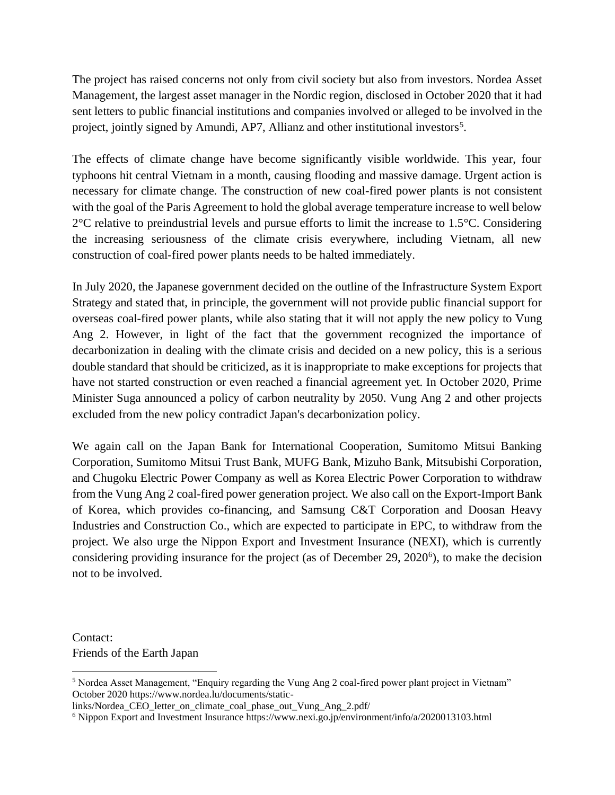The project has raised concerns not only from civil society but also from investors. Nordea Asset Management, the largest asset manager in the Nordic region, disclosed in October 2020 that it had sent letters to public financial institutions and companies involved or alleged to be involved in the project, jointly signed by Amundi, AP7, Allianz and other institutional investors<sup>5</sup>.

The effects of climate change have become significantly visible worldwide. This year, four typhoons hit central Vietnam in a month, causing flooding and massive damage. Urgent action is necessary for climate change. The construction of new coal-fired power plants is not consistent with the goal of the Paris Agreement to hold the global average temperature increase to well below 2°C relative to preindustrial levels and pursue efforts to limit the increase to 1.5°C. Considering the increasing seriousness of the climate crisis everywhere, including Vietnam, all new construction of coal-fired power plants needs to be halted immediately.

In July 2020, the Japanese government decided on the outline of the Infrastructure System Export Strategy and stated that, in principle, the government will not provide public financial support for overseas coal-fired power plants, while also stating that it will not apply the new policy to Vung Ang 2. However, in light of the fact that the government recognized the importance of decarbonization in dealing with the climate crisis and decided on a new policy, this is a serious double standard that should be criticized, as it is inappropriate to make exceptions for projects that have not started construction or even reached a financial agreement yet. In October 2020, Prime Minister Suga announced a policy of carbon neutrality by 2050. Vung Ang 2 and other projects excluded from the new policy contradict Japan's decarbonization policy.

We again call on the Japan Bank for International Cooperation, Sumitomo Mitsui Banking Corporation, Sumitomo Mitsui Trust Bank, MUFG Bank, Mizuho Bank, Mitsubishi Corporation, and Chugoku Electric Power Company as well as Korea Electric Power Corporation to withdraw from the Vung Ang 2 coal-fired power generation project. We also call on the Export-Import Bank of Korea, which provides co-financing, and Samsung C&T Corporation and Doosan Heavy Industries and Construction Co., which are expected to participate in EPC, to withdraw from the project. We also urge the Nippon Export and Investment Insurance (NEXI), which is currently considering providing insurance for the project (as of December 29, 2020<sup>6</sup>), to make the decision not to be involved.

Contact: Friends of the Earth Japan

<sup>5</sup> Nordea Asset Management, "Enquiry regarding the Vung Ang 2 coal-fired power plant project in Vietnam" October 2020 https://www.nordea.lu/documents/static-

links/Nordea\_CEO\_letter\_on\_climate\_coal\_phase\_out\_Vung\_Ang\_2.pdf/

<sup>6</sup> Nippon Export and Investment Insurance https://www.nexi.go.jp/environment/info/a/2020013103.html